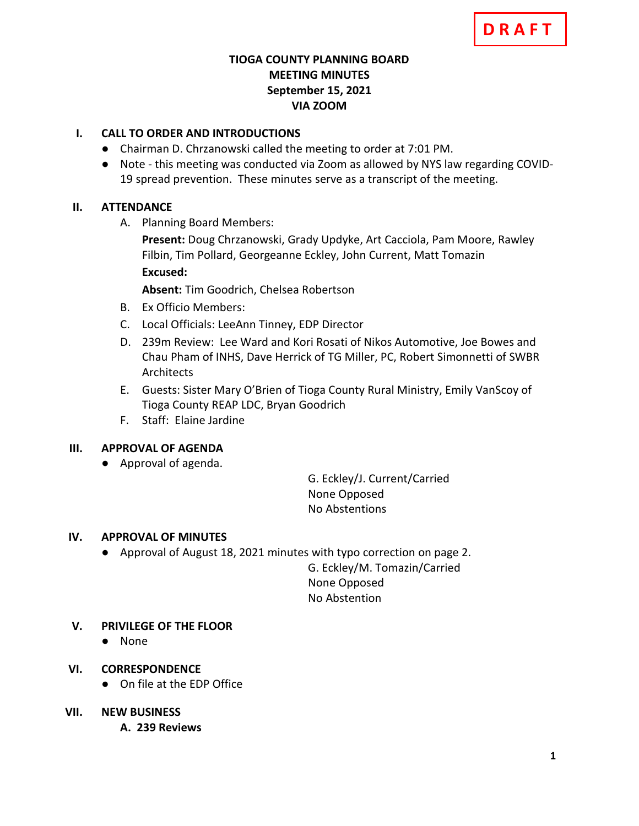## **TIOGA COUNTY PLANNING BOARD MEETING MINUTES September 15, 2021 VIA ZOOM**

# **I. CALL TO ORDER AND INTRODUCTIONS**

- Chairman D. Chrzanowski called the meeting to order at 7:01 PM.
- Note this meeting was conducted via Zoom as allowed by NYS law regarding COVID-19 spread prevention. These minutes serve as a transcript of the meeting.

## **II. ATTENDANCE**

A. Planning Board Members:

**Present:** Doug Chrzanowski, Grady Updyke, Art Cacciola, Pam Moore, Rawley Filbin, Tim Pollard, Georgeanne Eckley, John Current, Matt Tomazin **Excused:**

**Absent:** Tim Goodrich, Chelsea Robertson

- B. Ex Officio Members:
- C. Local Officials: LeeAnn Tinney, EDP Director
- D. 239m Review: Lee Ward and Kori Rosati of Nikos Automotive, Joe Bowes and Chau Pham of INHS, Dave Herrick of TG Miller, PC, Robert Simonnetti of SWBR Architects
- E. Guests: Sister Mary O'Brien of Tioga County Rural Ministry, Emily VanScoy of Tioga County REAP LDC, Bryan Goodrich
- F. Staff: Elaine Jardine

## **III. APPROVAL OF AGENDA**

● Approval of agenda.

G. Eckley/J. Current/Carried None Opposed No Abstentions

## **IV. APPROVAL OF MINUTES**

● Approval of August 18, 2021 minutes with typo correction on page 2.

G. Eckley/M. Tomazin/Carried None Opposed No Abstention

## **V. PRIVILEGE OF THE FLOOR**

- None
- **VI. CORRESPONDENCE**
	- On file at the EDP Office

## **VII. NEW BUSINESS**

**A. A. 239 Reviews**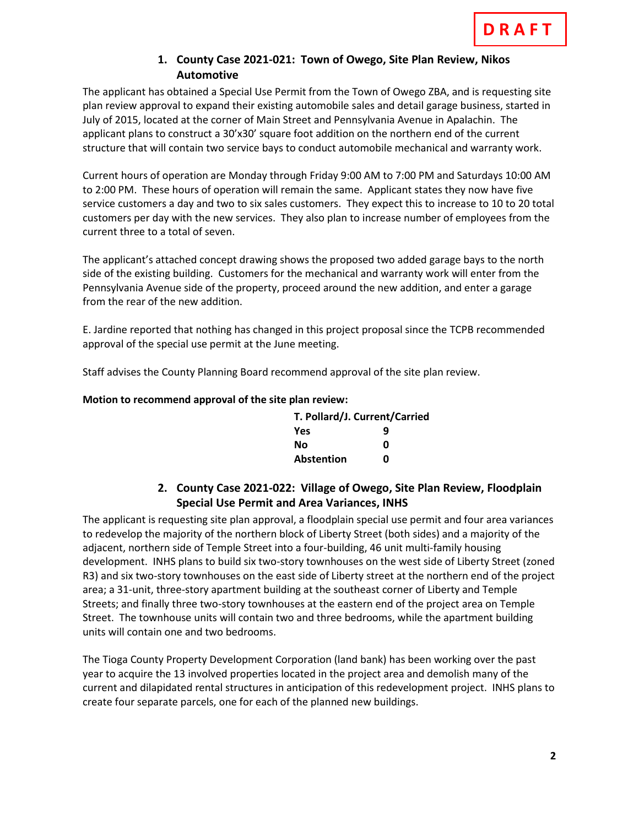## **1. County Case 2021-021: Town of Owego, Site Plan Review, Nikos Automotive**

The applicant has obtained a Special Use Permit from the Town of Owego ZBA, and is requesting site plan review approval to expand their existing automobile sales and detail garage business, started in July of 2015, located at the corner of Main Street and Pennsylvania Avenue in Apalachin. The applicant plans to construct a 30'x30' square foot addition on the northern end of the current structure that will contain two service bays to conduct automobile mechanical and warranty work.

Current hours of operation are Monday through Friday 9:00 AM to 7:00 PM and Saturdays 10:00 AM to 2:00 PM. These hours of operation will remain the same. Applicant states they now have five service customers a day and two to six sales customers. They expect this to increase to 10 to 20 total customers per day with the new services. They also plan to increase number of employees from the current three to a total of seven.

The applicant's attached concept drawing shows the proposed two added garage bays to the north side of the existing building. Customers for the mechanical and warranty work will enter from the Pennsylvania Avenue side of the property, proceed around the new addition, and enter a garage from the rear of the new addition.

E. Jardine reported that nothing has changed in this project proposal since the TCPB recommended approval of the special use permit at the June meeting.

Staff advises the County Planning Board recommend approval of the site plan review.

#### **Motion to recommend approval of the site plan review:**

| T. Pollard/J. Current/Carried |   |
|-------------------------------|---|
| Yes                           | q |
| Νo                            | n |
| <b>Abstention</b>             | n |

# **2. County Case 2021-022: Village of Owego, Site Plan Review, Floodplain Special Use Permit and Area Variances, INHS**

The applicant is requesting site plan approval, a floodplain special use permit and four area variances to redevelop the majority of the northern block of Liberty Street (both sides) and a majority of the adjacent, northern side of Temple Street into a four-building, 46 unit multi-family housing development. INHS plans to build six two-story townhouses on the west side of Liberty Street (zoned R3) and six two-story townhouses on the east side of Liberty street at the northern end of the project area; a 31-unit, three-story apartment building at the southeast corner of Liberty and Temple Streets; and finally three two-story townhouses at the eastern end of the project area on Temple Street. The townhouse units will contain two and three bedrooms, while the apartment building units will contain one and two bedrooms.

The Tioga County Property Development Corporation (land bank) has been working over the past year to acquire the 13 involved properties located in the project area and demolish many of the current and dilapidated rental structures in anticipation of this redevelopment project. INHS plans to create four separate parcels, one for each of the planned new buildings.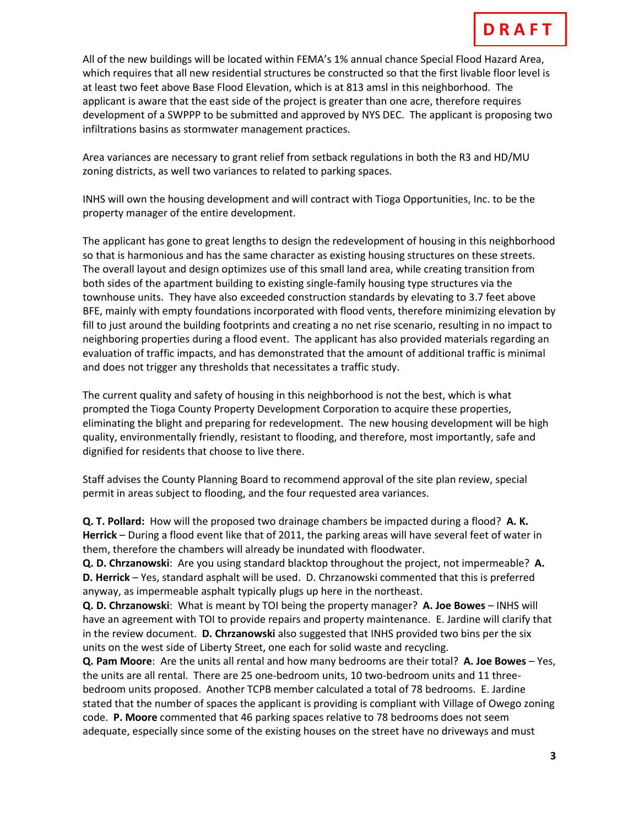All of the new buildings will be located within FEMA's 1% annual chance Special Flood Hazard Area, which requires that all new residential structures be constructed so that the first livable floor level is at least two feet above Base Flood Elevation, which is at 813 amsl in this neighborhood. The applicant is aware that the east side of the project is greater than one acre, therefore requires development of a SWPPP to be submitted and approved by NYS DEC. The applicant is proposing two infiltrations basins as stormwater management practices.

Area variances are necessary to grant relief from setback regulations in both the R3 and HD/MU zoning districts, as well two variances to related to parking spaces.

INHS will own the housing development and will contract with Tioga Opportunities, Inc. to be the property manager of the entire development.

The applicant has gone to great lengths to design the redevelopment of housing in this neighborhood so that is harmonious and has the same character as existing housing structures on these streets. The overall layout and design optimizes use of this small land area, while creating transition from both sides of the apartment building to existing single-family housing type structures via the townhouse units. They have also exceeded construction standards by elevating to 3.7 feet above BFE, mainly with empty foundations incorporated with flood vents, therefore minimizing elevation by fill to just around the building footprints and creating a no net rise scenario, resulting in no impact to neighboring properties during a flood event. The applicant has also provided materials regarding an evaluation of traffic impacts, and has demonstrated that the amount of additional traffic is minimal and does not trigger any thresholds that necessitates a traffic study.

The current quality and safety of housing in this neighborhood is not the best, which is what prompted the Tioga County Property Development Corporation to acquire these properties, eliminating the blight and preparing for redevelopment. The new housing development will be high quality, environmentally friendly, resistant to flooding, and therefore, most importantly, safe and dignified for residents that choose to live there.

Staff advises the County Planning Board to recommend approval of the site plan review, special permit in areas subject to flooding, and the four requested area variances.

**Q. T. Pollard:** How will the proposed two drainage chambers be impacted during a flood? **A. K. Herrick** – During a flood event like that of 2011, the parking areas will have several feet of water in them, therefore the chambers will already be inundated with floodwater.

**Q. D. Chrzanowski**: Are you using standard blacktop throughout the project, not impermeable? **A. D. Herrick** – Yes, standard asphalt will be used. D. Chrzanowski commented that this is preferred anyway, as impermeable asphalt typically plugs up here in the northeast.

**Q. D. Chrzanowski**: What is meant by TOI being the property manager? **A. Joe Bowes** – INHS will have an agreement with TOI to provide repairs and property maintenance. E. Jardine will clarify that in the review document. **D. Chrzanowski** also suggested that INHS provided two bins per the six units on the west side of Liberty Street, one each for solid waste and recycling.

**Q. Pam Moore**: Are the units all rental and how many bedrooms are their total? **A. Joe Bowes** – Yes, the units are all rental. There are 25 one-bedroom units, 10 two-bedroom units and 11 threebedroom units proposed. Another TCPB member calculated a total of 78 bedrooms. E. Jardine stated that the number of spaces the applicant is providing is compliant with Village of Owego zoning code. **P. Moore** commented that 46 parking spaces relative to 78 bedrooms does not seem adequate, especially since some of the existing houses on the street have no driveways and must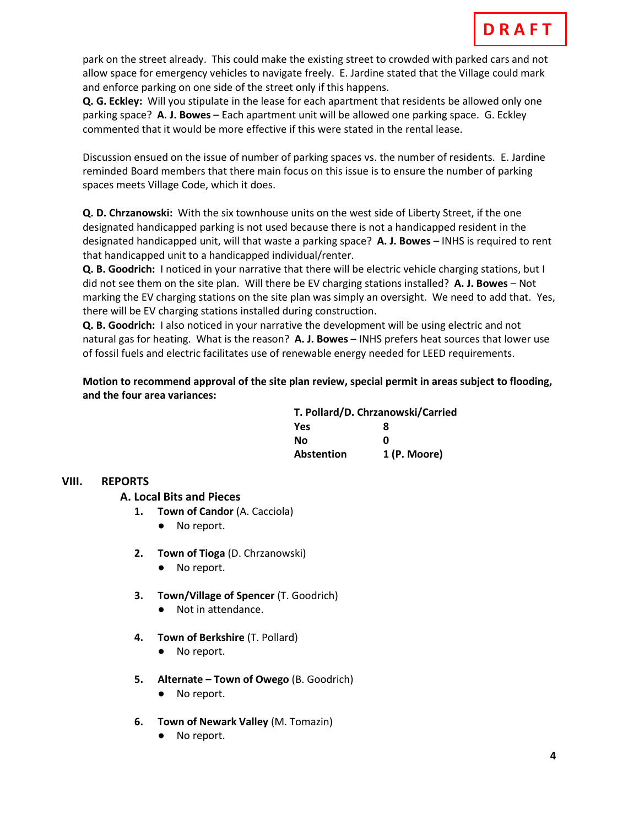park on the street already. This could make the existing street to crowded with parked cars and not allow space for emergency vehicles to navigate freely. E. Jardine stated that the Village could mark and enforce parking on one side of the street only if this happens.

**Q. G. Eckley:** Will you stipulate in the lease for each apartment that residents be allowed only one parking space? **A. J. Bowes** – Each apartment unit will be allowed one parking space. G. Eckley commented that it would be more effective if this were stated in the rental lease.

Discussion ensued on the issue of number of parking spaces vs. the number of residents. E. Jardine reminded Board members that there main focus on this issue is to ensure the number of parking spaces meets Village Code, which it does.

**Q. D. Chrzanowski:** With the six townhouse units on the west side of Liberty Street, if the one designated handicapped parking is not used because there is not a handicapped resident in the designated handicapped unit, will that waste a parking space? **A. J. Bowes** – INHS is required to rent that handicapped unit to a handicapped individual/renter.

**Q. B. Goodrich:** I noticed in your narrative that there will be electric vehicle charging stations, but I did not see them on the site plan. Will there be EV charging stations installed? **A. J. Bowes** – Not marking the EV charging stations on the site plan was simply an oversight. We need to add that. Yes, there will be EV charging stations installed during construction.

**Q. B. Goodrich:** I also noticed in your narrative the development will be using electric and not natural gas for heating. What is the reason? **A. J. Bowes** – INHS prefers heat sources that lower use of fossil fuels and electric facilitates use of renewable energy needed for LEED requirements.

**Motion to recommend approval of the site plan review, special permit in areas subject to flooding, and the four area variances:**

| T. Pollard/D. Chrzanowski/Carried |              |
|-----------------------------------|--------------|
| <b>Yes</b>                        | я            |
| Nο                                | ŋ            |
| Abstention                        | 1 (P. Moore) |

## **VIII. REPORTS**

**A. A. Local Bits and Pieces**

- **1. Town of Candor** (A. Cacciola)
	- No report.
- **2. Town of Tioga** (D. Chrzanowski)
	- No report.
- **3. Town/Village of Spencer** (T. Goodrich)
	- Not in attendance.
- **4. Town of Berkshire** (T. Pollard)
	- No report.
- **5. Alternate – Town of Owego** (B. Goodrich)
	- No report.
- **6. Town of Newark Valley** (M. Tomazin)
	- No report.